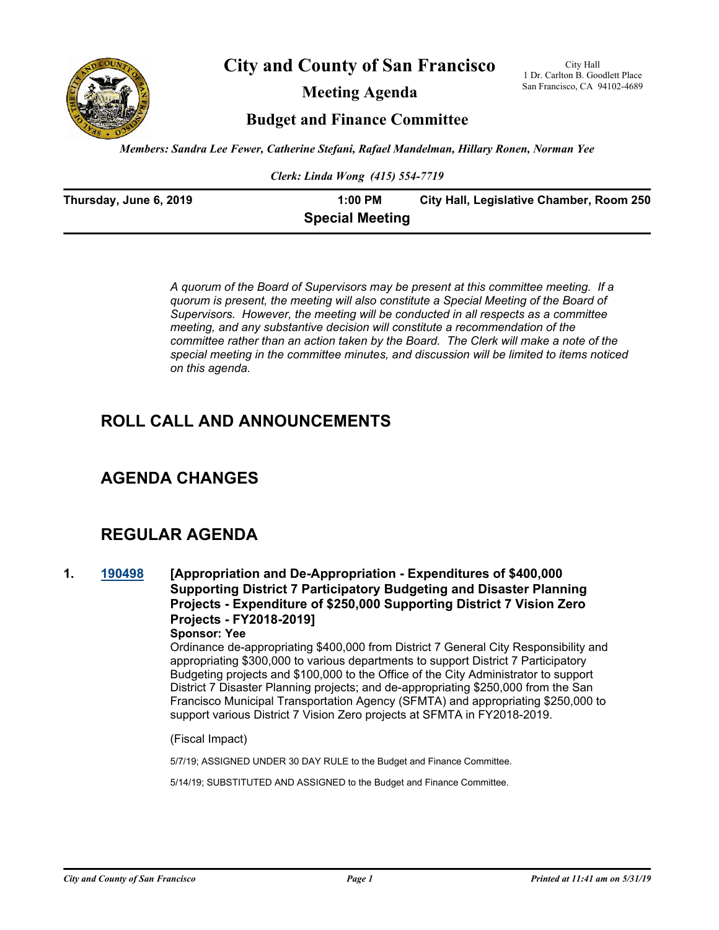

**City and County of San Francisco**

**Meeting Agenda**

City Hall 1 Dr. Carlton B. Goodlett Place San Francisco, CA 94102-4689

**Budget and Finance Committee**

*Members: Sandra Lee Fewer, Catherine Stefani, Rafael Mandelman, Hillary Ronen, Norman Yee*

*Clerk: Linda Wong (415) 554-7719*

| Thursday, June 6, 2019 | $1:00$ PM              | City Hall, Legislative Chamber, Room 250 |
|------------------------|------------------------|------------------------------------------|
|                        | <b>Special Meeting</b> |                                          |

*A quorum of the Board of Supervisors may be present at this committee meeting. If a quorum is present, the meeting will also constitute a Special Meeting of the Board of Supervisors. However, the meeting will be conducted in all respects as a committee meeting, and any substantive decision will constitute a recommendation of the committee rather than an action taken by the Board. The Clerk will make a note of the special meeting in the committee minutes, and discussion will be limited to items noticed on this agenda.*

## **ROLL CALL AND ANNOUNCEMENTS**

## **AGENDA CHANGES**

## **REGULAR AGENDA**

**1. [190498](http://sfgov.legistar.com/gateway.aspx?m=l&id=34620) [Appropriation and De-Appropriation - Expenditures of \$400,000 Supporting District 7 Participatory Budgeting and Disaster Planning Projects - Expenditure of \$250,000 Supporting District 7 Vision Zero Projects - FY2018-2019]**

## **Sponsor: Yee**

Ordinance de-appropriating \$400,000 from District 7 General City Responsibility and appropriating \$300,000 to various departments to support District 7 Participatory Budgeting projects and \$100,000 to the Office of the City Administrator to support District 7 Disaster Planning projects; and de-appropriating \$250,000 from the San Francisco Municipal Transportation Agency (SFMTA) and appropriating \$250,000 to support various District 7 Vision Zero projects at SFMTA in FY2018-2019.

#### (Fiscal Impact)

5/7/19; ASSIGNED UNDER 30 DAY RULE to the Budget and Finance Committee.

5/14/19; SUBSTITUTED AND ASSIGNED to the Budget and Finance Committee.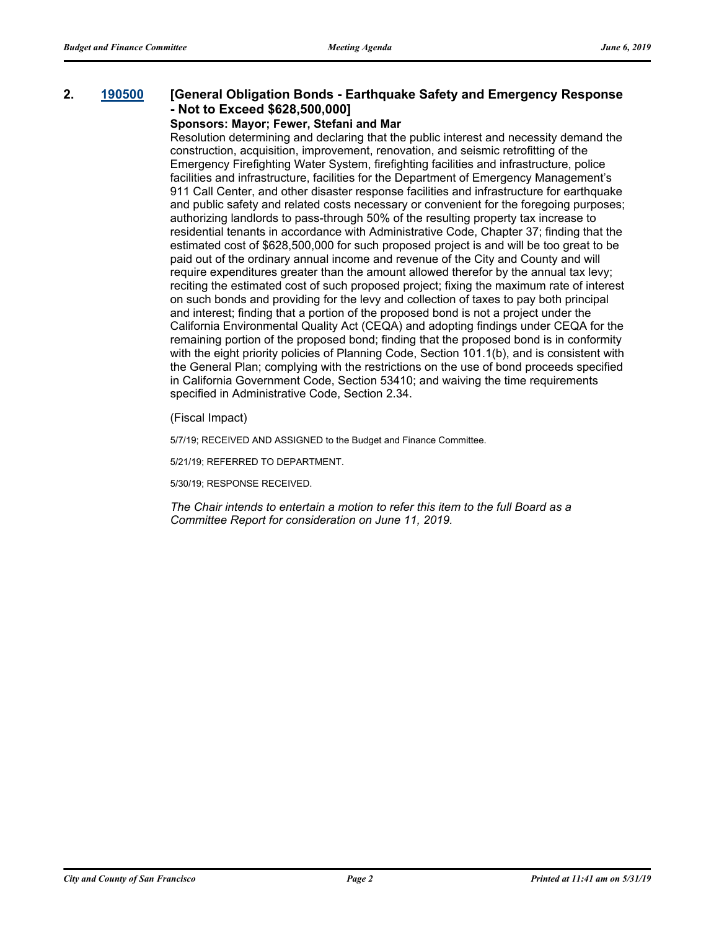### **2. [190500](http://sfgov.legistar.com/gateway.aspx?m=l&id=34622) [General Obligation Bonds - Earthquake Safety and Emergency Response - Not to Exceed \$628,500,000]**

### **Sponsors: Mayor; Fewer, Stefani and Mar**

Resolution determining and declaring that the public interest and necessity demand the construction, acquisition, improvement, renovation, and seismic retrofitting of the Emergency Firefighting Water System, firefighting facilities and infrastructure, police facilities and infrastructure, facilities for the Department of Emergency Management's 911 Call Center, and other disaster response facilities and infrastructure for earthquake and public safety and related costs necessary or convenient for the foregoing purposes; authorizing landlords to pass-through 50% of the resulting property tax increase to residential tenants in accordance with Administrative Code, Chapter 37; finding that the estimated cost of \$628,500,000 for such proposed project is and will be too great to be paid out of the ordinary annual income and revenue of the City and County and will require expenditures greater than the amount allowed therefor by the annual tax levy; reciting the estimated cost of such proposed project; fixing the maximum rate of interest on such bonds and providing for the levy and collection of taxes to pay both principal and interest; finding that a portion of the proposed bond is not a project under the California Environmental Quality Act (CEQA) and adopting findings under CEQA for the remaining portion of the proposed bond; finding that the proposed bond is in conformity with the eight priority policies of Planning Code, Section 101.1(b), and is consistent with the General Plan; complying with the restrictions on the use of bond proceeds specified in California Government Code, Section 53410; and waiving the time requirements specified in Administrative Code, Section 2.34.

(Fiscal Impact)

5/7/19; RECEIVED AND ASSIGNED to the Budget and Finance Committee.

5/21/19; REFERRED TO DEPARTMENT.

5/30/19; RESPONSE RECEIVED.

*The Chair intends to entertain a motion to refer this item to the full Board as a Committee Report for consideration on June 11, 2019.*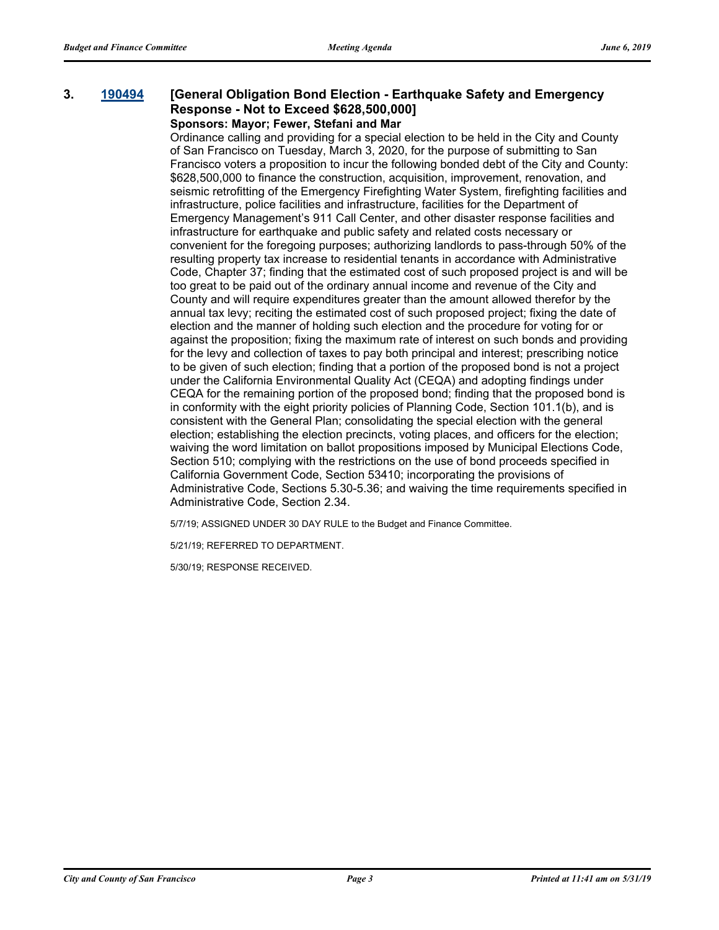### **3. [190494](http://sfgov.legistar.com/gateway.aspx?m=l&id=34616) [General Obligation Bond Election - Earthquake Safety and Emergency Response - Not to Exceed \$628,500,000] Sponsors: Mayor; Fewer, Stefani and Mar**

Ordinance calling and providing for a special election to be held in the City and County of San Francisco on Tuesday, March 3, 2020, for the purpose of submitting to San Francisco voters a proposition to incur the following bonded debt of the City and County: \$628,500,000 to finance the construction, acquisition, improvement, renovation, and seismic retrofitting of the Emergency Firefighting Water System, firefighting facilities and infrastructure, police facilities and infrastructure, facilities for the Department of Emergency Management's 911 Call Center, and other disaster response facilities and infrastructure for earthquake and public safety and related costs necessary or convenient for the foregoing purposes; authorizing landlords to pass-through 50% of the resulting property tax increase to residential tenants in accordance with Administrative Code, Chapter 37; finding that the estimated cost of such proposed project is and will be too great to be paid out of the ordinary annual income and revenue of the City and County and will require expenditures greater than the amount allowed therefor by the annual tax levy; reciting the estimated cost of such proposed project; fixing the date of election and the manner of holding such election and the procedure for voting for or against the proposition; fixing the maximum rate of interest on such bonds and providing for the levy and collection of taxes to pay both principal and interest; prescribing notice to be given of such election; finding that a portion of the proposed bond is not a project under the California Environmental Quality Act (CEQA) and adopting findings under CEQA for the remaining portion of the proposed bond; finding that the proposed bond is in conformity with the eight priority policies of Planning Code, Section 101.1(b), and is consistent with the General Plan; consolidating the special election with the general election; establishing the election precincts, voting places, and officers for the election; waiving the word limitation on ballot propositions imposed by Municipal Elections Code, Section 510; complying with the restrictions on the use of bond proceeds specified in California Government Code, Section 53410; incorporating the provisions of Administrative Code, Sections 5.30-5.36; and waiving the time requirements specified in Administrative Code, Section 2.34.

5/7/19; ASSIGNED UNDER 30 DAY RULE to the Budget and Finance Committee.

5/21/19; REFERRED TO DEPARTMENT.

5/30/19; RESPONSE RECEIVED.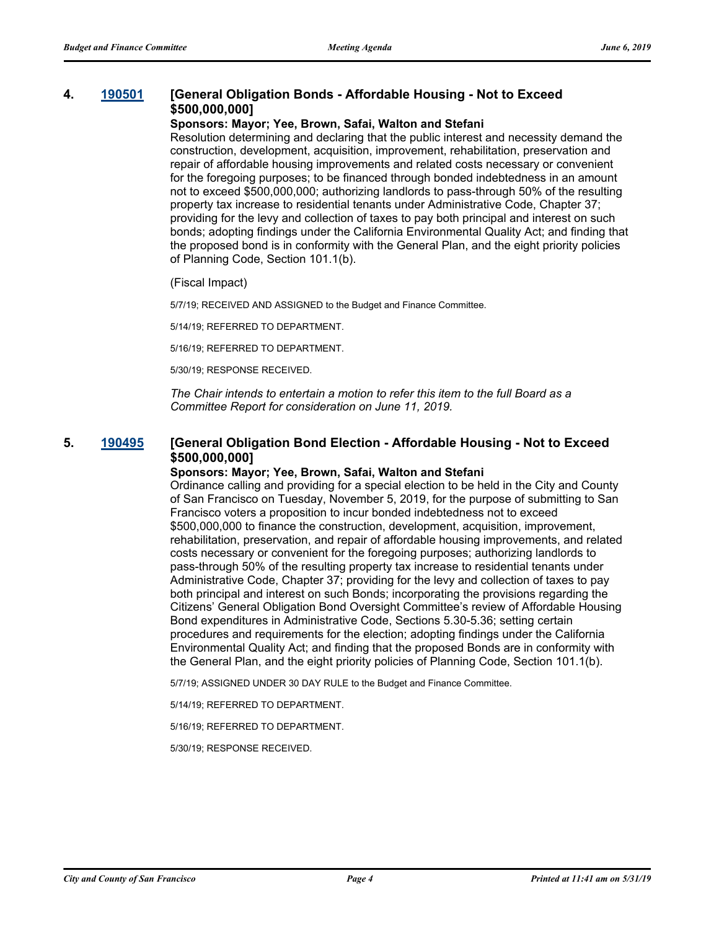## **4. [190501](http://sfgov.legistar.com/gateway.aspx?m=l&id=34623) [General Obligation Bonds - Affordable Housing - Not to Exceed \$500,000,000]**

#### **Sponsors: Mayor; Yee, Brown, Safai, Walton and Stefani**

Resolution determining and declaring that the public interest and necessity demand the construction, development, acquisition, improvement, rehabilitation, preservation and repair of affordable housing improvements and related costs necessary or convenient for the foregoing purposes; to be financed through bonded indebtedness in an amount not to exceed \$500,000,000; authorizing landlords to pass-through 50% of the resulting property tax increase to residential tenants under Administrative Code, Chapter 37; providing for the levy and collection of taxes to pay both principal and interest on such bonds; adopting findings under the California Environmental Quality Act; and finding that the proposed bond is in conformity with the General Plan, and the eight priority policies of Planning Code, Section 101.1(b).

#### (Fiscal Impact)

5/7/19; RECEIVED AND ASSIGNED to the Budget and Finance Committee.

5/14/19; REFERRED TO DEPARTMENT.

5/16/19; REFERRED TO DEPARTMENT.

5/30/19; RESPONSE RECEIVED.

*The Chair intends to entertain a motion to refer this item to the full Board as a Committee Report for consideration on June 11, 2019.*

## **5. [190495](http://sfgov.legistar.com/gateway.aspx?m=l&id=34617) [General Obligation Bond Election - Affordable Housing - Not to Exceed \$500,000,000]**

#### **Sponsors: Mayor; Yee, Brown, Safai, Walton and Stefani**

Ordinance calling and providing for a special election to be held in the City and County of San Francisco on Tuesday, November 5, 2019, for the purpose of submitting to San Francisco voters a proposition to incur bonded indebtedness not to exceed \$500,000,000 to finance the construction, development, acquisition, improvement, rehabilitation, preservation, and repair of affordable housing improvements, and related costs necessary or convenient for the foregoing purposes; authorizing landlords to pass-through 50% of the resulting property tax increase to residential tenants under Administrative Code, Chapter 37; providing for the levy and collection of taxes to pay both principal and interest on such Bonds; incorporating the provisions regarding the Citizens' General Obligation Bond Oversight Committee's review of Affordable Housing Bond expenditures in Administrative Code, Sections 5.30-5.36; setting certain procedures and requirements for the election; adopting findings under the California Environmental Quality Act; and finding that the proposed Bonds are in conformity with the General Plan, and the eight priority policies of Planning Code, Section 101.1(b).

5/7/19; ASSIGNED UNDER 30 DAY RULE to the Budget and Finance Committee.

5/14/19; REFERRED TO DEPARTMENT.

5/16/19; REFERRED TO DEPARTMENT.

5/30/19; RESPONSE RECEIVED.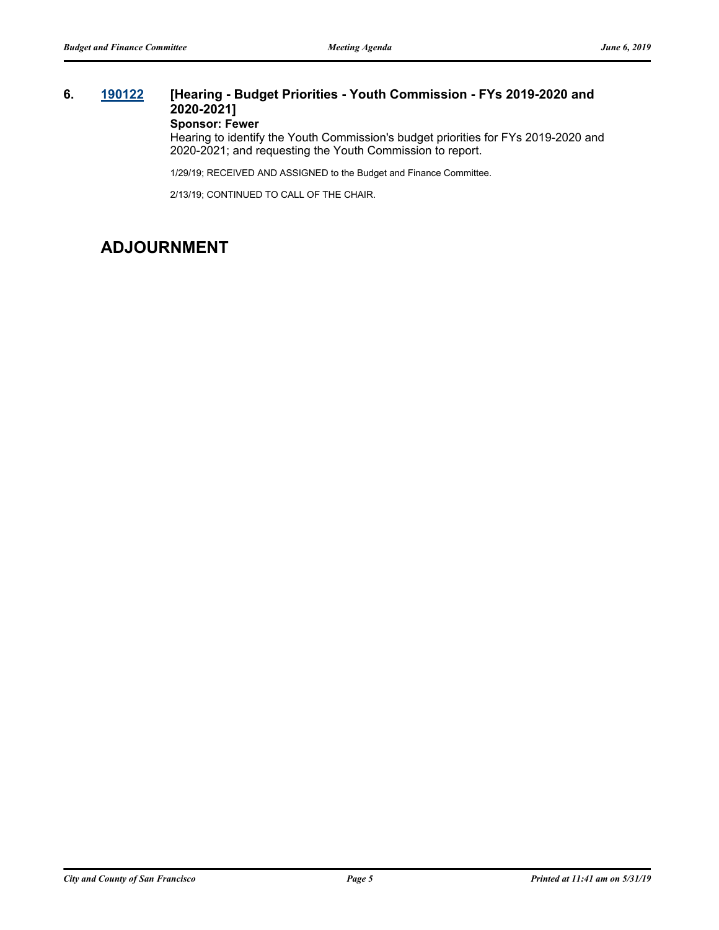## **6. [190122](http://sfgov.legistar.com/gateway.aspx?m=l&id=34243) [Hearing - Budget Priorities - Youth Commission - FYs 2019-2020 and 2020-2021]**

## **Sponsor: Fewer**

Hearing to identify the Youth Commission's budget priorities for FYs 2019-2020 and 2020-2021; and requesting the Youth Commission to report.

1/29/19; RECEIVED AND ASSIGNED to the Budget and Finance Committee.

2/13/19; CONTINUED TO CALL OF THE CHAIR.

## **ADJOURNMENT**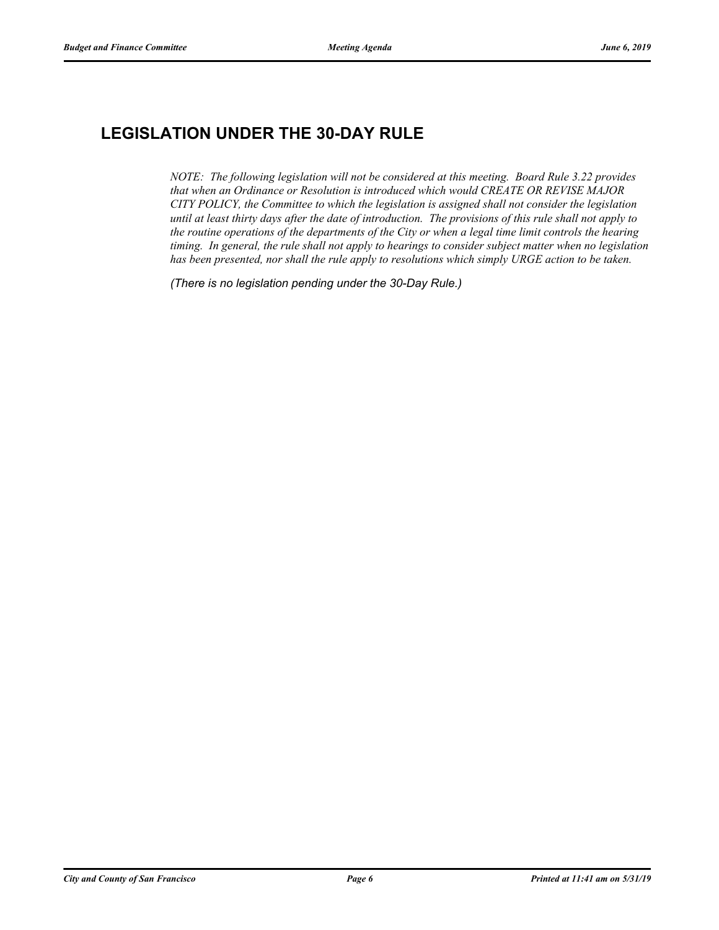# **LEGISLATION UNDER THE 30-DAY RULE**

*NOTE: The following legislation will not be considered at this meeting. Board Rule 3.22 provides that when an Ordinance or Resolution is introduced which would CREATE OR REVISE MAJOR CITY POLICY, the Committee to which the legislation is assigned shall not consider the legislation until at least thirty days after the date of introduction. The provisions of this rule shall not apply to the routine operations of the departments of the City or when a legal time limit controls the hearing timing. In general, the rule shall not apply to hearings to consider subject matter when no legislation has been presented, nor shall the rule apply to resolutions which simply URGE action to be taken.*

*(There is no legislation pending under the 30-Day Rule.)*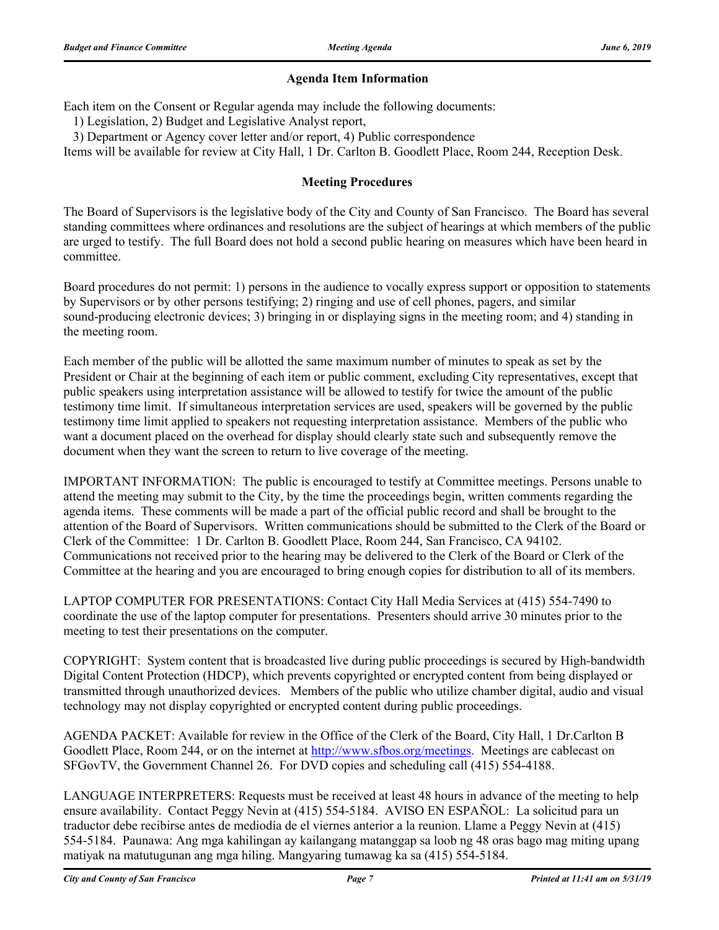## **Agenda Item Information**

Each item on the Consent or Regular agenda may include the following documents:

1) Legislation, 2) Budget and Legislative Analyst report,

3) Department or Agency cover letter and/or report, 4) Public correspondence

Items will be available for review at City Hall, 1 Dr. Carlton B. Goodlett Place, Room 244, Reception Desk.

## **Meeting Procedures**

The Board of Supervisors is the legislative body of the City and County of San Francisco. The Board has several standing committees where ordinances and resolutions are the subject of hearings at which members of the public are urged to testify. The full Board does not hold a second public hearing on measures which have been heard in committee.

Board procedures do not permit: 1) persons in the audience to vocally express support or opposition to statements by Supervisors or by other persons testifying; 2) ringing and use of cell phones, pagers, and similar sound-producing electronic devices; 3) bringing in or displaying signs in the meeting room; and 4) standing in the meeting room.

Each member of the public will be allotted the same maximum number of minutes to speak as set by the President or Chair at the beginning of each item or public comment, excluding City representatives, except that public speakers using interpretation assistance will be allowed to testify for twice the amount of the public testimony time limit. If simultaneous interpretation services are used, speakers will be governed by the public testimony time limit applied to speakers not requesting interpretation assistance. Members of the public who want a document placed on the overhead for display should clearly state such and subsequently remove the document when they want the screen to return to live coverage of the meeting.

IMPORTANT INFORMATION: The public is encouraged to testify at Committee meetings. Persons unable to attend the meeting may submit to the City, by the time the proceedings begin, written comments regarding the agenda items. These comments will be made a part of the official public record and shall be brought to the attention of the Board of Supervisors. Written communications should be submitted to the Clerk of the Board or Clerk of the Committee: 1 Dr. Carlton B. Goodlett Place, Room 244, San Francisco, CA 94102. Communications not received prior to the hearing may be delivered to the Clerk of the Board or Clerk of the Committee at the hearing and you are encouraged to bring enough copies for distribution to all of its members.

LAPTOP COMPUTER FOR PRESENTATIONS: Contact City Hall Media Services at (415) 554-7490 to coordinate the use of the laptop computer for presentations. Presenters should arrive 30 minutes prior to the meeting to test their presentations on the computer.

COPYRIGHT: System content that is broadcasted live during public proceedings is secured by High-bandwidth Digital Content Protection (HDCP), which prevents copyrighted or encrypted content from being displayed or transmitted through unauthorized devices. Members of the public who utilize chamber digital, audio and visual technology may not display copyrighted or encrypted content during public proceedings.

AGENDA PACKET: Available for review in the Office of the Clerk of the Board, City Hall, 1 Dr.Carlton B Goodlett Place, Room 244, or on the internet at http://www.sfbos.org/meetings. Meetings are cablecast on SFGovTV, the Government Channel 26. For DVD copies and scheduling call (415) 554-4188.

LANGUAGE INTERPRETERS: Requests must be received at least 48 hours in advance of the meeting to help ensure availability. Contact Peggy Nevin at (415) 554-5184. AVISO EN ESPAÑOL: La solicitud para un traductor debe recibirse antes de mediodía de el viernes anterior a la reunion. Llame a Peggy Nevin at (415) 554-5184. Paunawa: Ang mga kahilingan ay kailangang matanggap sa loob ng 48 oras bago mag miting upang matiyak na matutugunan ang mga hiling. Mangyaring tumawag ka sa (415) 554-5184.